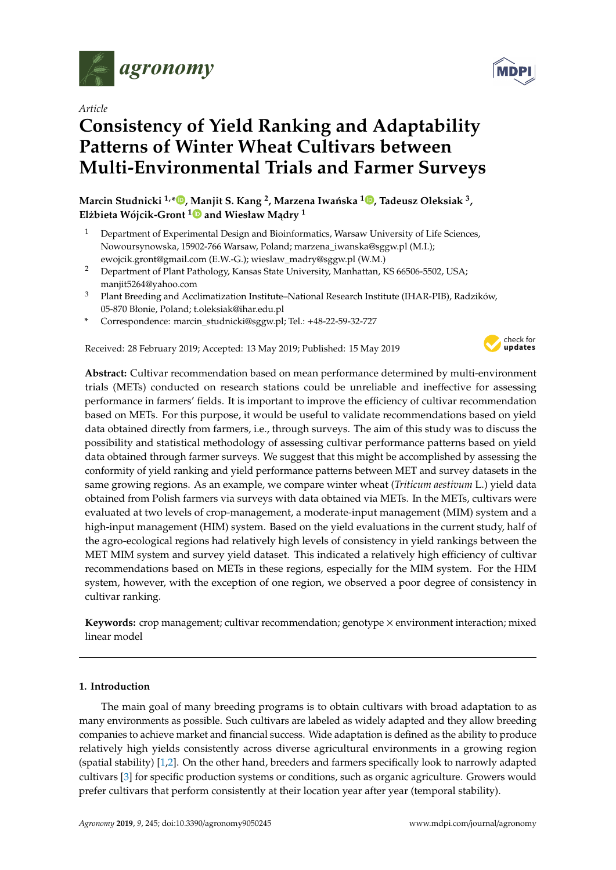

*Article*

# **Consistency of Yield Ranking and Adaptability Patterns of Winter Wheat Cultivars between Multi-Environmental Trials and Farmer Surveys**

**Marcin Studnicki 1,[\\*](https://orcid.org/0000-0001-9773-7313) , Manjit S. Kang <sup>2</sup> , Marzena Iwa ´nska <sup>1</sup> [,](https://orcid.org/0000-0003-2894-2596) Tadeusz Oleksiak <sup>3</sup> ,** Elżbieta Wójcik-Gront<sup>[1](https://orcid.org/0000-0002-7172-0529)</sup> and Wiesław Mądry<sup>1</sup>

- <sup>1</sup> Department of Experimental Design and Bioinformatics, Warsaw University of Life Sciences, Nowoursynowska, 15902-766 Warsaw, Poland; marzena\_iwanska@sggw.pl (M.I.); ewojcik.gront@gmail.com (E.W.-G.); wieslaw\_madry@sggw.pl (W.M.)
- <sup>2</sup> Department of Plant Pathology, Kansas State University, Manhattan, KS 66506-5502, USA; manjit5264@yahoo.com
- <sup>3</sup> Plant Breeding and Acclimatization Institute–National Research Institute (IHAR-PIB), Radzików, 05-870 Błonie, Poland; t.oleksiak@ihar.edu.pl
- **\*** Correspondence: marcin\_studnicki@sggw.pl; Tel.: +48-22-59-32-727

Received: 28 February 2019; Accepted: 13 May 2019; Published: 15 May 2019



**Abstract:** Cultivar recommendation based on mean performance determined by multi-environment trials (METs) conducted on research stations could be unreliable and ineffective for assessing performance in farmers' fields. It is important to improve the efficiency of cultivar recommendation based on METs. For this purpose, it would be useful to validate recommendations based on yield data obtained directly from farmers, i.e., through surveys. The aim of this study was to discuss the possibility and statistical methodology of assessing cultivar performance patterns based on yield data obtained through farmer surveys. We suggest that this might be accomplished by assessing the conformity of yield ranking and yield performance patterns between MET and survey datasets in the same growing regions. As an example, we compare winter wheat (*Triticum aestivum* L.) yield data obtained from Polish farmers via surveys with data obtained via METs. In the METs, cultivars were evaluated at two levels of crop-management, a moderate-input management (MIM) system and a high-input management (HIM) system. Based on the yield evaluations in the current study, half of the agro-ecological regions had relatively high levels of consistency in yield rankings between the MET MIM system and survey yield dataset. This indicated a relatively high efficiency of cultivar recommendations based on METs in these regions, especially for the MIM system. For the HIM system, however, with the exception of one region, we observed a poor degree of consistency in cultivar ranking.

**Keywords:** crop management; cultivar recommendation; genotype × environment interaction; mixed linear model

## **1. Introduction**

The main goal of many breeding programs is to obtain cultivars with broad adaptation to as many environments as possible. Such cultivars are labeled as widely adapted and they allow breeding companies to achieve market and financial success. Wide adaptation is defined as the ability to produce relatively high yields consistently across diverse agricultural environments in a growing region (spatial stability) [\[1](#page-8-0)[,2\]](#page-8-1). On the other hand, breeders and farmers specifically look to narrowly adapted cultivars [\[3\]](#page-8-2) for specific production systems or conditions, such as organic agriculture. Growers would prefer cultivars that perform consistently at their location year after year (temporal stability).

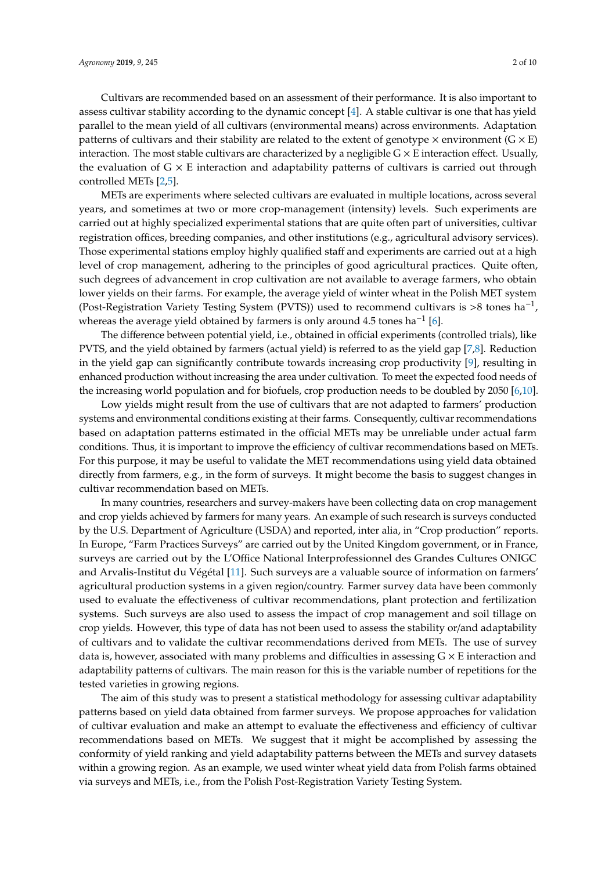Cultivars are recommended based on an assessment of their performance. It is also important to assess cultivar stability according to the dynamic concept [\[4\]](#page-8-3). A stable cultivar is one that has yield parallel to the mean yield of all cultivars (environmental means) across environments. Adaptation patterns of cultivars and their stability are related to the extent of genotype  $\times$  environment ( $G \times E$ ) interaction. The most stable cultivars are characterized by a negligible  $G \times E$  interaction effect. Usually, the evaluation of  $G \times E$  interaction and adaptability patterns of cultivars is carried out through controlled METs [\[2,](#page-8-1)[5\]](#page-8-4).

METs are experiments where selected cultivars are evaluated in multiple locations, across several years, and sometimes at two or more crop-management (intensity) levels. Such experiments are carried out at highly specialized experimental stations that are quite often part of universities, cultivar registration offices, breeding companies, and other institutions (e.g., agricultural advisory services). Those experimental stations employ highly qualified staff and experiments are carried out at a high level of crop management, adhering to the principles of good agricultural practices. Quite often, such degrees of advancement in crop cultivation are not available to average farmers, who obtain lower yields on their farms. For example, the average yield of winter wheat in the Polish MET system (Post-Registration Variety Testing System (PVTS)) used to recommend cultivars is >8 tones ha−<sup>1</sup> , whereas the average yield obtained by farmers is only around 4.5 tones ha<sup>-1</sup> [\[6\]](#page-8-5).

The difference between potential yield, i.e., obtained in official experiments (controlled trials), like PVTS, and the yield obtained by farmers (actual yield) is referred to as the yield gap [\[7,](#page-8-6)[8\]](#page-8-7). Reduction in the yield gap can significantly contribute towards increasing crop productivity [\[9\]](#page-8-8), resulting in enhanced production without increasing the area under cultivation. To meet the expected food needs of the increasing world population and for biofuels, crop production needs to be doubled by 2050 [\[6](#page-8-5)[,10\]](#page-8-9).

Low yields might result from the use of cultivars that are not adapted to farmers' production systems and environmental conditions existing at their farms. Consequently, cultivar recommendations based on adaptation patterns estimated in the official METs may be unreliable under actual farm conditions. Thus, it is important to improve the efficiency of cultivar recommendations based on METs. For this purpose, it may be useful to validate the MET recommendations using yield data obtained directly from farmers, e.g., in the form of surveys. It might become the basis to suggest changes in cultivar recommendation based on METs.

In many countries, researchers and survey-makers have been collecting data on crop management and crop yields achieved by farmers for many years. An example of such research is surveys conducted by the U.S. Department of Agriculture (USDA) and reported, inter alia, in "Crop production" reports. In Europe, "Farm Practices Surveys" are carried out by the United Kingdom government, or in France, surveys are carried out by the L'Office National Interprofessionnel des Grandes Cultures ONIGC and Arvalis-Institut du Végétal [\[11\]](#page-8-10). Such surveys are a valuable source of information on farmers' agricultural production systems in a given region/country. Farmer survey data have been commonly used to evaluate the effectiveness of cultivar recommendations, plant protection and fertilization systems. Such surveys are also used to assess the impact of crop management and soil tillage on crop yields. However, this type of data has not been used to assess the stability or/and adaptability of cultivars and to validate the cultivar recommendations derived from METs. The use of survey data is, however, associated with many problems and difficulties in assessing  $G \times E$  interaction and adaptability patterns of cultivars. The main reason for this is the variable number of repetitions for the tested varieties in growing regions.

The aim of this study was to present a statistical methodology for assessing cultivar adaptability patterns based on yield data obtained from farmer surveys. We propose approaches for validation of cultivar evaluation and make an attempt to evaluate the effectiveness and efficiency of cultivar recommendations based on METs. We suggest that it might be accomplished by assessing the conformity of yield ranking and yield adaptability patterns between the METs and survey datasets within a growing region. As an example, we used winter wheat yield data from Polish farms obtained via surveys and METs, i.e., from the Polish Post-Registration Variety Testing System.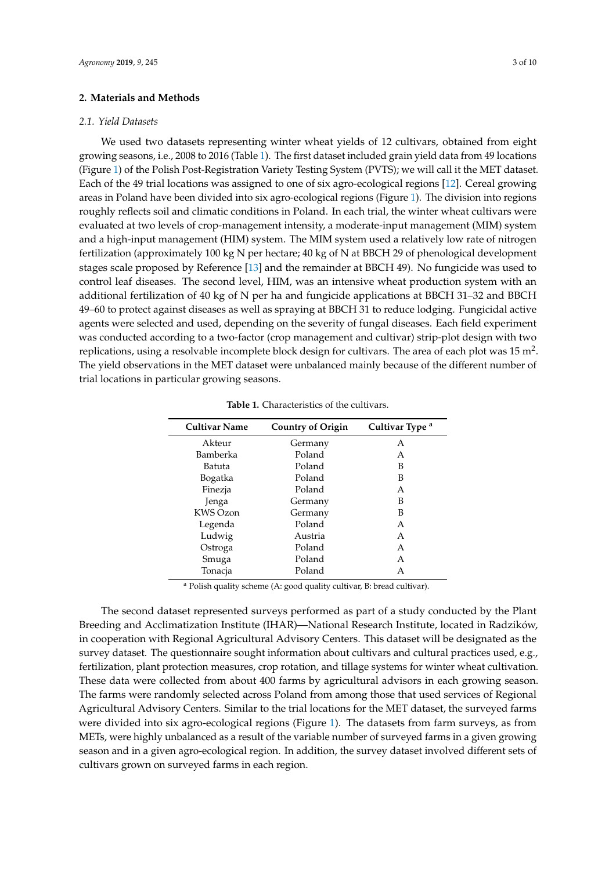## **2. Materials and Methods**

## *2.1. Yield Datasets*

We used two datasets representing winter wheat yields of 12 cultivars, obtained from eight growing seasons, i.e., 2008 to 2016 (Table [1\)](#page-2-0). The first dataset included grain yield data from 49 locations (Figure [1\)](#page-3-0) of the Polish Post-Registration Variety Testing System (PVTS); we will call it the MET dataset. Each of the 49 trial locations was assigned to one of six agro-ecological regions [\[12\]](#page-8-11). Cereal growing areas in Poland have been divided into six agro-ecological regions (Figure [1\)](#page-3-0). The division into regions roughly reflects soil and climatic conditions in Poland. In each trial, the winter wheat cultivars were evaluated at two levels of crop-management intensity, a moderate-input management (MIM) system and a high-input management (HIM) system. The MIM system used a relatively low rate of nitrogen fertilization (approximately 100 kg N per hectare; 40 kg of N at BBCH 29 of phenological development stages scale proposed by Reference [\[13\]](#page-8-12) and the remainder at BBCH 49). No fungicide was used to control leaf diseases. The second level, HIM, was an intensive wheat production system with an additional fertilization of 40 kg of N per ha and fungicide applications at BBCH 31–32 and BBCH 49–60 to protect against diseases as well as spraying at BBCH 31 to reduce lodging. Fungicidal active agents were selected and used, depending on the severity of fungal diseases. Each field experiment was conducted according to a two-factor (crop management and cultivar) strip-plot design with two replications, using a resolvable incomplete block design for cultivars. The area of each plot was 15  $m^2$ . The yield observations in the MET dataset were unbalanced mainly because of the different number of trial locations in particular growing seasons.

<span id="page-2-0"></span>

| <b>Cultivar Name</b> | <b>Country of Origin</b> | Cultivar Type <sup>a</sup> |
|----------------------|--------------------------|----------------------------|
| Akteur               | Germany                  | A                          |
| Bamberka             | Poland                   | A                          |
| Batuta               | Poland                   | В                          |
| Bogatka              | Poland                   | В                          |
| Finezja              | Poland                   | A                          |
| Jenga                | Germany                  | в                          |
| KWS Ozon             | Germany                  | в                          |
| Legenda              | Poland                   | A                          |
| Ludwig               | Austria                  | A                          |
| Ostroga              | Poland                   | A                          |
| Smuga                | Poland                   | A                          |
| Tonacja              | Poland                   | А                          |

**Table 1.** Characteristics of the cultivars.

<sup>a</sup> Polish quality scheme (A: good quality cultivar, B: bread cultivar).

The second dataset represented surveys performed as part of a study conducted by the Plant Breeding and Acclimatization Institute (IHAR)—National Research Institute, located in Radzików, in cooperation with Regional Agricultural Advisory Centers. This dataset will be designated as the survey dataset. The questionnaire sought information about cultivars and cultural practices used, e.g., fertilization, plant protection measures, crop rotation, and tillage systems for winter wheat cultivation. These data were collected from about 400 farms by agricultural advisors in each growing season. The farms were randomly selected across Poland from among those that used services of Regional Agricultural Advisory Centers. Similar to the trial locations for the MET dataset, the surveyed farms were divided into six agro-ecological regions (Figure [1\)](#page-3-0). The datasets from farm surveys, as from METs, were highly unbalanced as a result of the variable number of surveyed farms in a given growing season and in a given agro-ecological region. In addition, the survey dataset involved different sets of cultivars grown on surveyed farms in each region.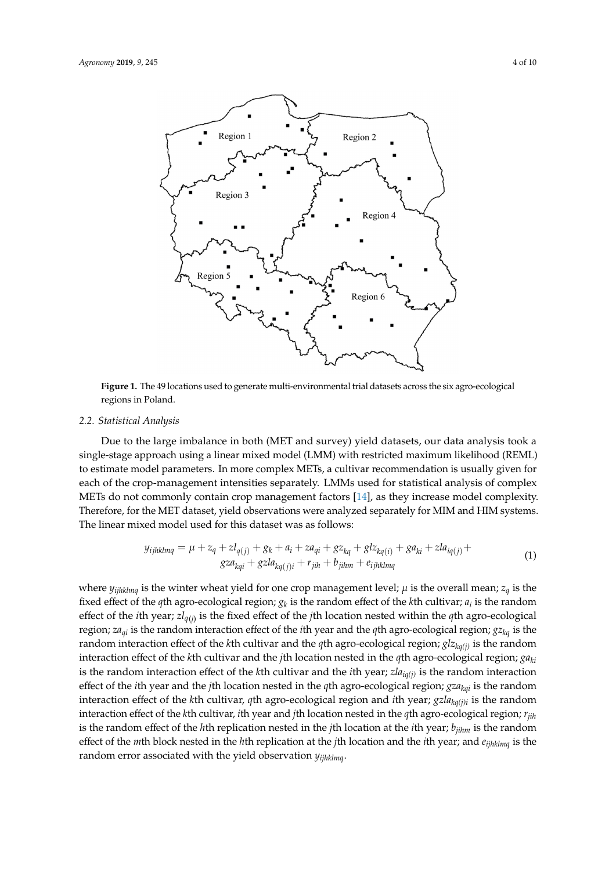<span id="page-3-0"></span>

**Figure 1.** The 49 locations used to generate multi-environmental trial datasets across the six agro-**Figure 1.** The 49 locations used to generate multi-environmental trial datasets across the six agro-ecological regions in Poland.

### $T_{\text{m}}$  second surveys performed as part of a study conducted by the Plant of a study conducted by the Plant of a study conducted by the Plant of a study conducted by the Plant of a study conducted by the Plant of a stud *2.2. Statistical Analysis*

Due to the large imbalance in both (MET and survey) yield datasets, our data analysis took a single-stage approach using a linear mixed model (LMM) with restricted maximum likelihood (REML) to estimate model parameters. In more complex METs, a cultivar recommendation is usually given for each of the crop-management intensities separately. LMMs used for statistical analysis of complex METs do not commonly contain crop management factors [14], as they increase model complexity. Therefore, for the MET dataset, yield observations were analyzed separately for MIM and HIM systems. The linear mixed model used for this dataset was as follows:

$$
y_{ijhklmq} = \mu + z_q + z l_{q(j)} + g_k + a_i + z a_{qi} + g z_{kq} + g l z_{kq(i)} + g a_{ki} + z l a_{iq(j)} + g z l a_{kqi} + g z l a_{kq(j)i} + r_{jih} + b_{jilm} + e_{ijhklmq}
$$
\n(1)

where  $y_{ijhklmq}$  is the winter wheat yield for one crop management level;  $\mu$  is the overall mean;  $z_q$  is the fixed effect of the *q*th agro-ecological region;  $g_k$  is the random effect of the *k*th cultivar;  $a_i$  is the random region;  $z a_{qi}$  is the random interaction effect of the *i*th year and the *q*th agro-ecological region;  $gz_{kq}$  is the random interaction effect of the *k*th cultivar and the *q*th agro-ecological region;  $glz_{kq(j)}$  is the random interaction effect of the kth cultivar and the *j*th location nested in the *q*th agro-ecological region;  $ga_{ki}$ is the random interaction effect of the kth cultivar and the *i*th year;  $zla_{iq(j)}$  is the random interaction effect of the *i*th year and the *j*th location nested in the *q*th agro-ecological region;  $gza_{kqi}$  is the random interaction effect of the kth cultivar, qth agro-ecological region and *i*th year;  $gzla_{kq(j)i}$  is the random interaction effect of the kth cultivar, *i*th year and *j*th location nested in the qth agro-ecological region;  $r_{jih}$ is the random effect of the *h*th replication nested in the *j*th location at the *i*th year;  $b_{jilm}$  is the random effect of the *m*th block nested in the *h*th replication at the *j*th location and the *i*th year; and  $e_{ijhklmq}$  is the where *yijhklmq* is the winter wheat yield for one crop management level; *µ* is the overall mean; *zq* is the effect of the *i*th year; *zlq*(*j*) is the fixed effect of the *j*th location nested within the *q*th agro-ecological random error associated with the yield observation *yijhklmq*.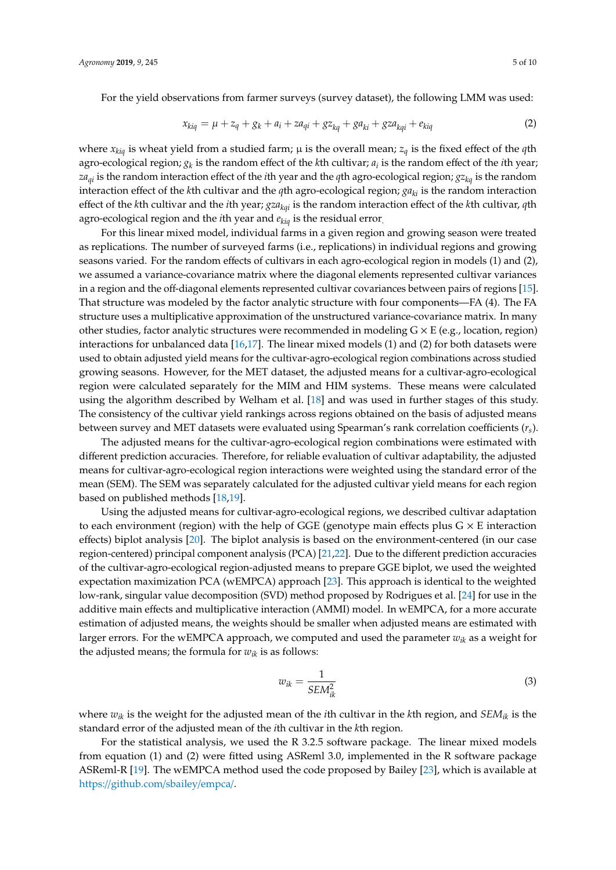For the yield observations from farmer surveys (survey dataset), the following LMM was used:

$$
x_{kiq} = \mu + z_q + g_k + a_i + za_{qi} + gz_{kq} + ga_{ki} + gza_{kqi} + e_{kiq}
$$
 (2)

where  $x_{kiq}$  is wheat yield from a studied farm;  $\mu$  is the overall mean;  $z_q$  is the fixed effect of the *q*th agro-ecological region; *g<sup>k</sup>* is the random effect of the *k*th cultivar; *a<sup>i</sup>* is the random effect of the *i*th year; *zaqi* is the random interaction effect of the *i*th year and the *q*th agro-ecological region; *gzkq* is the random interaction effect of the *k*th cultivar and the *q*th agro-ecological region; *gaki* is the random interaction effect of the *k*th cultivar and the *i*th year; *gzakqi* is the random interaction effect of the *k*th cultivar, *q*th agro-ecological region and the *i*th year and *ekiq* is the residual error.

For this linear mixed model, individual farms in a given region and growing season were treated as replications. The number of surveyed farms (i.e., replications) in individual regions and growing seasons varied. For the random effects of cultivars in each agro-ecological region in models (1) and (2), we assumed a variance-covariance matrix where the diagonal elements represented cultivar variances in a region and the off-diagonal elements represented cultivar covariances between pairs of regions [\[15\]](#page-8-14). That structure was modeled by the factor analytic structure with four components—FA (4). The FA structure uses a multiplicative approximation of the unstructured variance-covariance matrix. In many other studies, factor analytic structures were recommended in modeling  $G \times E$  (e.g., location, region) interactions for unbalanced data [\[16,](#page-8-15)[17\]](#page-9-0). The linear mixed models (1) and (2) for both datasets were used to obtain adjusted yield means for the cultivar-agro-ecological region combinations across studied growing seasons. However, for the MET dataset, the adjusted means for a cultivar-agro-ecological region were calculated separately for the MIM and HIM systems. These means were calculated using the algorithm described by Welham et al. [\[18\]](#page-9-1) and was used in further stages of this study. The consistency of the cultivar yield rankings across regions obtained on the basis of adjusted means between survey and MET datasets were evaluated using Spearman's rank correlation coefficients (*rs*).

The adjusted means for the cultivar-agro-ecological region combinations were estimated with different prediction accuracies. Therefore, for reliable evaluation of cultivar adaptability, the adjusted means for cultivar-agro-ecological region interactions were weighted using the standard error of the mean (SEM). The SEM was separately calculated for the adjusted cultivar yield means for each region based on published methods [\[18,](#page-9-1)[19\]](#page-9-2).

Using the adjusted means for cultivar-agro-ecological regions, we described cultivar adaptation to each environment (region) with the help of GGE (genotype main effects plus  $G \times E$  interaction effects) biplot analysis [\[20\]](#page-9-3). The biplot analysis is based on the environment-centered (in our case region-centered) principal component analysis (PCA) [\[21,](#page-9-4)[22\]](#page-9-5). Due to the different prediction accuracies of the cultivar-agro-ecological region-adjusted means to prepare GGE biplot, we used the weighted expectation maximization PCA (wEMPCA) approach [\[23\]](#page-9-6). This approach is identical to the weighted low-rank, singular value decomposition (SVD) method proposed by Rodrigues et al. [\[24\]](#page-9-7) for use in the additive main effects and multiplicative interaction (AMMI) model. In wEMPCA, for a more accurate estimation of adjusted means, the weights should be smaller when adjusted means are estimated with larger errors. For the wEMPCA approach, we computed and used the parameter *wik* as a weight for the adjusted means; the formula for  $w_{ik}$  is as follows:

$$
w_{ik} = \frac{1}{SEM_{ik}^2} \tag{3}
$$

where *wik* is the weight for the adjusted mean of the *i*th cultivar in the *k*th region, and *SEMik* is the standard error of the adjusted mean of the *i*th cultivar in the *k*th region.

For the statistical analysis, we used the R 3.2.5 software package. The linear mixed models from equation (1) and (2) were fitted using ASReml 3.0, implemented in the R software package ASReml-R [\[19\]](#page-9-2). The wEMPCA method used the code proposed by Bailey [\[23\]](#page-9-6), which is available at https://[github.com](https://github.com/sbailey/empca/)/sbailey/empca/.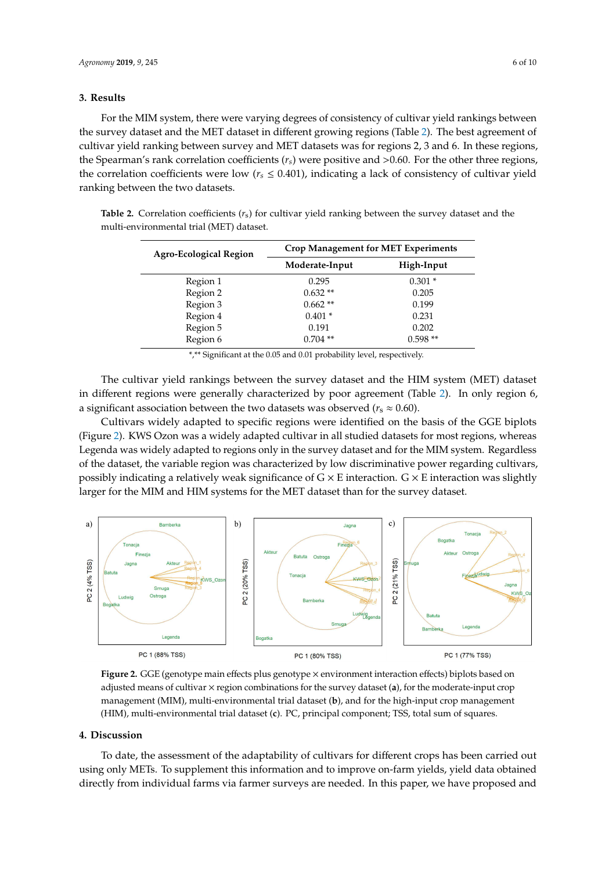#### **3. Results**  $F_{\rm eff}$  the MIM system, there were variant  $\alpha$  and  $\alpha$  and  $\alpha$  and  $\alpha$  and  $\alpha$  is consistency of cultivar  $\alpha$

For the MIM system, there were varying degrees of consistency of cultivar yield rankings between the survey dataset and the MET dataset in different growing regions (Table [2\)](#page-5-0). The best agreement of cultivar yield ranking between survey and MET datasets was for regions 2, 3 and 6. In these regions, the Spearman's rank correlation coefficients  $(r_s)$  were positive and  $>0.60$ . For the other three regions, the correlation coefficients were low ( $r_s \leq 0.401$ ), indicating a lack of consistency of cultivar yield ranking between the two datasets. **Table 2.** Correlation coefficients (*r*s) for cultivar yield ranking between the survey dataset and the

<span id="page-5-0"></span>Table 2. Correlation coefficients  $(r_s)$  for cultivar yield ranking between the survey dataset and the multi-environmental trial (MET) dataset. **Agro-ecological Region Crop Management for MET Experiments** 

| <b>Agro-Ecological Region</b> | <b>Crop Management for MET Experiments</b> |            |
|-------------------------------|--------------------------------------------|------------|
|                               | Moderate-Input                             | High-Input |
| Region 1                      | 0.295                                      | $0.301*$   |
| Region 2                      | $0.632**$                                  | 0.205      |
| Region 3                      | $0.662**$                                  | 0.199      |
| Region 4                      | $0.401*$                                   | 0.231      |
| Region 5                      | 0.191                                      | 0.202      |
| Region 6                      | $0.704$ **                                 | $0.598**$  |

\*,\*\* Significant at the 0.05 and 0.01 probability level, respectively.

The cultivar yield rankings between the survey dataset and the HIM system (MET) dataset in different regions were generally characterized by poor agreement (Table [2\)](#page-5-0). In only region 6, a significant association between the two datasets was observed ( $r_s \approx 0.60$ ). The cultivar yield rankings between the survey dataset and the HIM system (MET) dataset in different regions were generally characterized by positions were generally characterized by positions were generally region for  $\frac{1}{2}$ . In order that  $\frac{1}{2}$  and  $\frac{1}{2}$  and  $\frac{1}{2}$  and  $\frac{1}{2}$  and  $\frac{1}{2}$  and

Cultivars widely adapted to specific regions were identified on the basis of the GGE biplots (Figure [2\)](#page-5-1). KWS Ozon was a widely adapted cultivar in all studied datasets for most regions, whereas<br>-Legenda was widely adapted to regions only in the survey dataset and for the MIM system. Regardless of the dataset, the variable region was characterized by low discriminative power regarding cultivars, possibly indicating a relatively weak significance of  $G \times E$  interaction.  $G \times E$  interaction was slightly larger for the MIM and HIM systems for the MET dataset than for the survey dataset.

<span id="page-5-1"></span>

**Figure 2.** GGE (genotype main effects plus genotype × environment interaction effects) biplots based **Figure 2.** GGE (genotype main effects plus genotype × environment interaction effects) biplots based on adjusted means of cultivar  $\times$  region combinations for the survey dataset (a), for the moderate-input crop crop management (MIM), multi-environmental trial dataset (**b**), and for the high-input crop management (MIM), multi-environmental trial dataset (**b**), and for the high-input crop management (HIM), multi-environmental trial dataset (**c**). PC, principal component; TSS, total sum of squares.

## **4. Discussion**

To date, the assessment of the adaptability of cultivars for different crops has been carried out using only METs. To supplement this information and to improve on-farm yields, yield data obtained directly from individual farms via farmer surveys are needed. In this paper, we have proposed and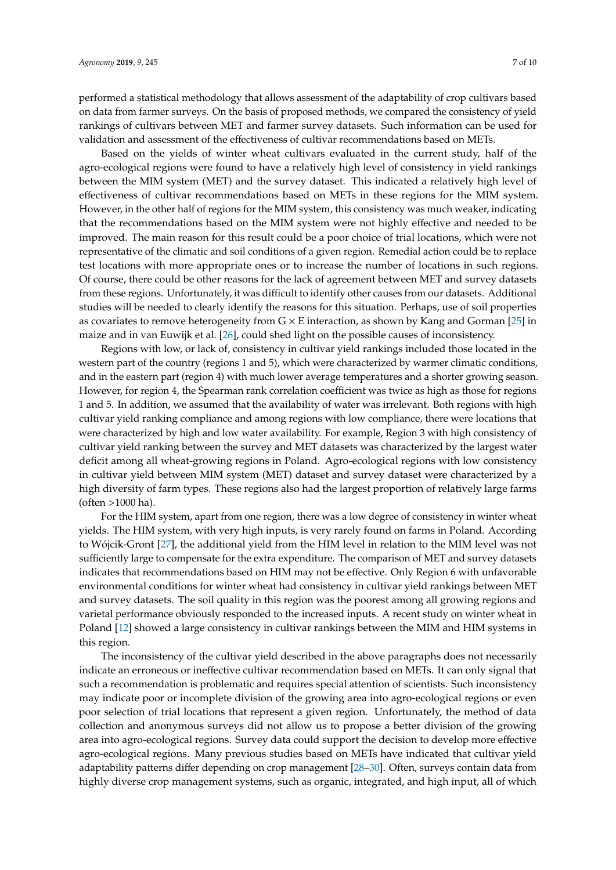performed a statistical methodology that allows assessment of the adaptability of crop cultivars based on data from farmer surveys. On the basis of proposed methods, we compared the consistency of yield rankings of cultivars between MET and farmer survey datasets. Such information can be used for validation and assessment of the effectiveness of cultivar recommendations based on METs.

Based on the yields of winter wheat cultivars evaluated in the current study, half of the agro-ecological regions were found to have a relatively high level of consistency in yield rankings between the MIM system (MET) and the survey dataset. This indicated a relatively high level of effectiveness of cultivar recommendations based on METs in these regions for the MIM system. However, in the other half of regions for the MIM system, this consistency was much weaker, indicating that the recommendations based on the MIM system were not highly effective and needed to be improved. The main reason for this result could be a poor choice of trial locations, which were not representative of the climatic and soil conditions of a given region. Remedial action could be to replace test locations with more appropriate ones or to increase the number of locations in such regions. Of course, there could be other reasons for the lack of agreement between MET and survey datasets from these regions. Unfortunately, it was difficult to identify other causes from our datasets. Additional studies will be needed to clearly identify the reasons for this situation. Perhaps, use of soil properties as covariates to remove heterogeneity from  $G \times E$  interaction, as shown by Kang and Gorman [\[25\]](#page-9-8) in maize and in van Euwijk et al. [\[26\]](#page-9-9), could shed light on the possible causes of inconsistency.

Regions with low, or lack of, consistency in cultivar yield rankings included those located in the western part of the country (regions 1 and 5), which were characterized by warmer climatic conditions, and in the eastern part (region 4) with much lower average temperatures and a shorter growing season. However, for region 4, the Spearman rank correlation coefficient was twice as high as those for regions 1 and 5. In addition, we assumed that the availability of water was irrelevant. Both regions with high cultivar yield ranking compliance and among regions with low compliance, there were locations that were characterized by high and low water availability. For example, Region 3 with high consistency of cultivar yield ranking between the survey and MET datasets was characterized by the largest water deficit among all wheat-growing regions in Poland. Agro-ecological regions with low consistency in cultivar yield between MIM system (MET) dataset and survey dataset were characterized by a high diversity of farm types. These regions also had the largest proportion of relatively large farms (often >1000 ha).

For the HIM system, apart from one region, there was a low degree of consistency in winter wheat yields. The HIM system, with very high inputs, is very rarely found on farms in Poland. According to Wójcik-Gront [\[27\]](#page-9-10), the additional yield from the HIM level in relation to the MIM level was not sufficiently large to compensate for the extra expenditure. The comparison of MET and survey datasets indicates that recommendations based on HIM may not be effective. Only Region 6 with unfavorable environmental conditions for winter wheat had consistency in cultivar yield rankings between MET and survey datasets. The soil quality in this region was the poorest among all growing regions and varietal performance obviously responded to the increased inputs. A recent study on winter wheat in Poland [\[12\]](#page-8-11) showed a large consistency in cultivar rankings between the MIM and HIM systems in this region.

The inconsistency of the cultivar yield described in the above paragraphs does not necessarily indicate an erroneous or ineffective cultivar recommendation based on METs. It can only signal that such a recommendation is problematic and requires special attention of scientists. Such inconsistency may indicate poor or incomplete division of the growing area into agro-ecological regions or even poor selection of trial locations that represent a given region. Unfortunately, the method of data collection and anonymous surveys did not allow us to propose a better division of the growing area into agro-ecological regions. Survey data could support the decision to develop more effective agro-ecological regions. Many previous studies based on METs have indicated that cultivar yield adaptability patterns differ depending on crop management [\[28](#page-9-11)[–30\]](#page-9-12). Often, surveys contain data from highly diverse crop management systems, such as organic, integrated, and high input, all of which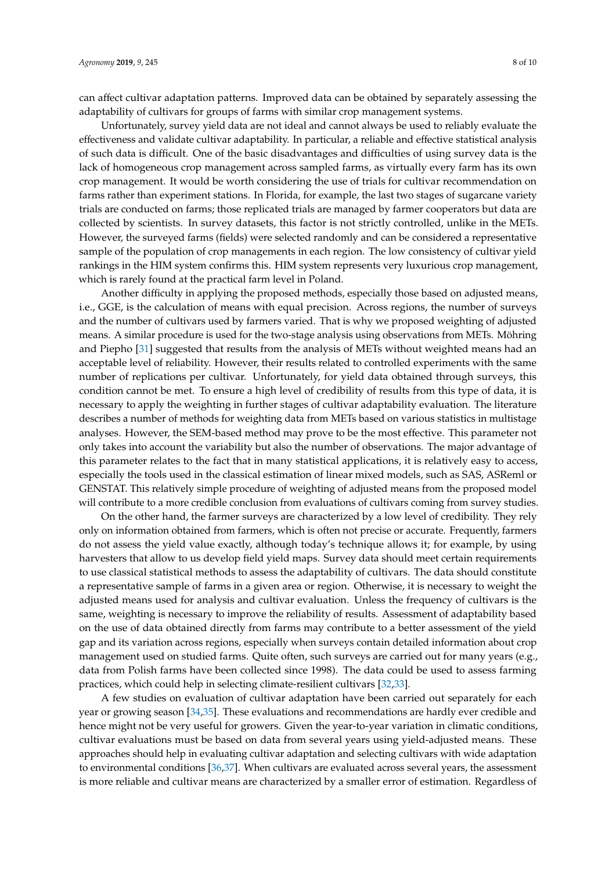can affect cultivar adaptation patterns. Improved data can be obtained by separately assessing the adaptability of cultivars for groups of farms with similar crop management systems.

Unfortunately, survey yield data are not ideal and cannot always be used to reliably evaluate the effectiveness and validate cultivar adaptability. In particular, a reliable and effective statistical analysis of such data is difficult. One of the basic disadvantages and difficulties of using survey data is the lack of homogeneous crop management across sampled farms, as virtually every farm has its own crop management. It would be worth considering the use of trials for cultivar recommendation on farms rather than experiment stations. In Florida, for example, the last two stages of sugarcane variety trials are conducted on farms; those replicated trials are managed by farmer cooperators but data are collected by scientists. In survey datasets, this factor is not strictly controlled, unlike in the METs. However, the surveyed farms (fields) were selected randomly and can be considered a representative sample of the population of crop managements in each region. The low consistency of cultivar yield rankings in the HIM system confirms this. HIM system represents very luxurious crop management, which is rarely found at the practical farm level in Poland.

Another difficulty in applying the proposed methods, especially those based on adjusted means, i.e., GGE, is the calculation of means with equal precision. Across regions, the number of surveys and the number of cultivars used by farmers varied. That is why we proposed weighting of adjusted means. A similar procedure is used for the two-stage analysis using observations from METs. Möhring and Piepho [\[31\]](#page-9-13) suggested that results from the analysis of METs without weighted means had an acceptable level of reliability. However, their results related to controlled experiments with the same number of replications per cultivar. Unfortunately, for yield data obtained through surveys, this condition cannot be met. To ensure a high level of credibility of results from this type of data, it is necessary to apply the weighting in further stages of cultivar adaptability evaluation. The literature describes a number of methods for weighting data from METs based on various statistics in multistage analyses. However, the SEM-based method may prove to be the most effective. This parameter not only takes into account the variability but also the number of observations. The major advantage of this parameter relates to the fact that in many statistical applications, it is relatively easy to access, especially the tools used in the classical estimation of linear mixed models, such as SAS, ASReml or GENSTAT. This relatively simple procedure of weighting of adjusted means from the proposed model will contribute to a more credible conclusion from evaluations of cultivars coming from survey studies.

On the other hand, the farmer surveys are characterized by a low level of credibility. They rely only on information obtained from farmers, which is often not precise or accurate. Frequently, farmers do not assess the yield value exactly, although today's technique allows it; for example, by using harvesters that allow to us develop field yield maps. Survey data should meet certain requirements to use classical statistical methods to assess the adaptability of cultivars. The data should constitute a representative sample of farms in a given area or region. Otherwise, it is necessary to weight the adjusted means used for analysis and cultivar evaluation. Unless the frequency of cultivars is the same, weighting is necessary to improve the reliability of results. Assessment of adaptability based on the use of data obtained directly from farms may contribute to a better assessment of the yield gap and its variation across regions, especially when surveys contain detailed information about crop management used on studied farms. Quite often, such surveys are carried out for many years (e.g., data from Polish farms have been collected since 1998). The data could be used to assess farming practices, which could help in selecting climate-resilient cultivars [\[32](#page-9-14)[,33\]](#page-9-15).

A few studies on evaluation of cultivar adaptation have been carried out separately for each year or growing season [\[34](#page-9-16)[,35\]](#page-9-17). These evaluations and recommendations are hardly ever credible and hence might not be very useful for growers. Given the year-to-year variation in climatic conditions, cultivar evaluations must be based on data from several years using yield-adjusted means. These approaches should help in evaluating cultivar adaptation and selecting cultivars with wide adaptation to environmental conditions [\[36,](#page-9-18)[37\]](#page-9-19). When cultivars are evaluated across several years, the assessment is more reliable and cultivar means are characterized by a smaller error of estimation. Regardless of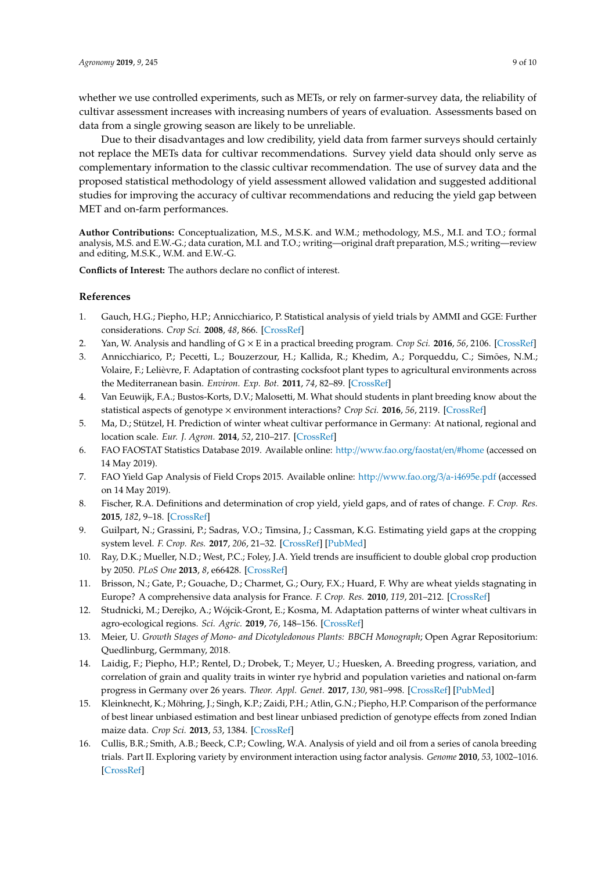whether we use controlled experiments, such as METs, or rely on farmer-survey data, the reliability of cultivar assessment increases with increasing numbers of years of evaluation. Assessments based on data from a single growing season are likely to be unreliable.

Due to their disadvantages and low credibility, yield data from farmer surveys should certainly not replace the METs data for cultivar recommendations. Survey yield data should only serve as complementary information to the classic cultivar recommendation. The use of survey data and the proposed statistical methodology of yield assessment allowed validation and suggested additional studies for improving the accuracy of cultivar recommendations and reducing the yield gap between MET and on-farm performances.

**Author Contributions:** Conceptualization, M.S., M.S.K. and W.M.; methodology, M.S., M.I. and T.O.; formal analysis, M.S. and E.W.-G.; data curation, M.I. and T.O.; writing—original draft preparation, M.S.; writing—review and editing, M.S.K., W.M. and E.W.-G.

**Conflicts of Interest:** The authors declare no conflict of interest.

## **References**

- <span id="page-8-0"></span>1. Gauch, H.G.; Piepho, H.P.; Annicchiarico, P. Statistical analysis of yield trials by AMMI and GGE: Further considerations. *Crop Sci.* **2008**, *48*, 866. [\[CrossRef\]](http://dx.doi.org/10.2135/cropsci2007.09.0513)
- <span id="page-8-1"></span>2. Yan, W. Analysis and handling of G × E in a practical breeding program. *Crop Sci.* **2016**, *56*, 2106. [\[CrossRef\]](http://dx.doi.org/10.2135/cropsci2015.06.0336)
- <span id="page-8-2"></span>3. Annicchiarico, P.; Pecetti, L.; Bouzerzour, H.; Kallida, R.; Khedim, A.; Porqueddu, C.; Simões, N.M.; Volaire, F.; Lelièvre, F. Adaptation of contrasting cocksfoot plant types to agricultural environments across the Mediterranean basin. *Environ. Exp. Bot.* **2011**, *74*, 82–89. [\[CrossRef\]](http://dx.doi.org/10.1016/j.envexpbot.2011.05.002)
- <span id="page-8-3"></span>4. Van Eeuwijk, F.A.; Bustos-Korts, D.V.; Malosetti, M. What should students in plant breeding know about the statistical aspects of genotype × environment interactions? *Crop Sci.* **2016**, *56*, 2119. [\[CrossRef\]](http://dx.doi.org/10.2135/cropsci2015.06.0375)
- <span id="page-8-4"></span>5. Ma, D.; Stützel, H. Prediction of winter wheat cultivar performance in Germany: At national, regional and location scale. *Eur. J. Agron.* **2014**, *52*, 210–217. [\[CrossRef\]](http://dx.doi.org/10.1016/j.eja.2013.09.005)
- <span id="page-8-5"></span>6. FAO FAOSTAT Statistics Database 2019. Available online: http://[www.fao.org](http://www.fao.org/faostat/en/#home)/faostat/en/#home (accessed on 14 May 2019).
- <span id="page-8-6"></span>7. FAO Yield Gap Analysis of Field Crops 2015. Available online: http://[www.fao.org](http://www.fao.org/3/a-i4695e.pdf)/3/a-i4695e.pdf (accessed on 14 May 2019).
- <span id="page-8-7"></span>8. Fischer, R.A. Definitions and determination of crop yield, yield gaps, and of rates of change. *F. Crop. Res.* **2015**, *182*, 9–18. [\[CrossRef\]](http://dx.doi.org/10.1016/j.fcr.2014.12.006)
- <span id="page-8-8"></span>9. Guilpart, N.; Grassini, P.; Sadras, V.O.; Timsina, J.; Cassman, K.G. Estimating yield gaps at the cropping system level. *F. Crop. Res.* **2017**, *206*, 21–32. [\[CrossRef\]](http://dx.doi.org/10.1016/j.fcr.2017.02.008) [\[PubMed\]](http://www.ncbi.nlm.nih.gov/pubmed/28515571)
- <span id="page-8-9"></span>10. Ray, D.K.; Mueller, N.D.; West, P.C.; Foley, J.A. Yield trends are insufficient to double global crop production by 2050. *PLoS One* **2013**, *8*, e66428. [\[CrossRef\]](http://dx.doi.org/10.1371/journal.pone.0066428)
- <span id="page-8-10"></span>11. Brisson, N.; Gate, P.; Gouache, D.; Charmet, G.; Oury, F.X.; Huard, F. Why are wheat yields stagnating in Europe? A comprehensive data analysis for France. *F. Crop. Res.* **2010**, *119*, 201–212. [\[CrossRef\]](http://dx.doi.org/10.1016/j.fcr.2010.07.012)
- <span id="page-8-11"></span>12. Studnicki, M.; Derejko, A.; Wójcik-Gront, E.; Kosma, M. Adaptation patterns of winter wheat cultivars in agro-ecological regions. *Sci. Agric.* **2019**, *76*, 148–156. [\[CrossRef\]](http://dx.doi.org/10.1590/1678-992x-2017-0183)
- <span id="page-8-12"></span>13. Meier, U. *Growth Stages of Mono- and Dicotyledonous Plants: BBCH Monograph*; Open Agrar Repositorium: Quedlinburg, Germmany, 2018.
- <span id="page-8-13"></span>14. Laidig, F.; Piepho, H.P.; Rentel, D.; Drobek, T.; Meyer, U.; Huesken, A. Breeding progress, variation, and correlation of grain and quality traits in winter rye hybrid and population varieties and national on-farm progress in Germany over 26 years. *Theor. Appl. Genet.* **2017**, *130*, 981–998. [\[CrossRef\]](http://dx.doi.org/10.1007/s00122-017-2865-9) [\[PubMed\]](http://www.ncbi.nlm.nih.gov/pubmed/28289803)
- <span id="page-8-14"></span>15. Kleinknecht, K.; Möhring, J.; Singh, K.P.; Zaidi, P.H.; Atlin, G.N.; Piepho, H.P. Comparison of the performance of best linear unbiased estimation and best linear unbiased prediction of genotype effects from zoned Indian maize data. *Crop Sci.* **2013**, *53*, 1384. [\[CrossRef\]](http://dx.doi.org/10.2135/cropsci2013.02.0073)
- <span id="page-8-15"></span>16. Cullis, B.R.; Smith, A.B.; Beeck, C.P.; Cowling, W.A. Analysis of yield and oil from a series of canola breeding trials. Part II. Exploring variety by environment interaction using factor analysis. *Genome* **2010**, *53*, 1002–1016. [\[CrossRef\]](http://dx.doi.org/10.1139/G10-080)